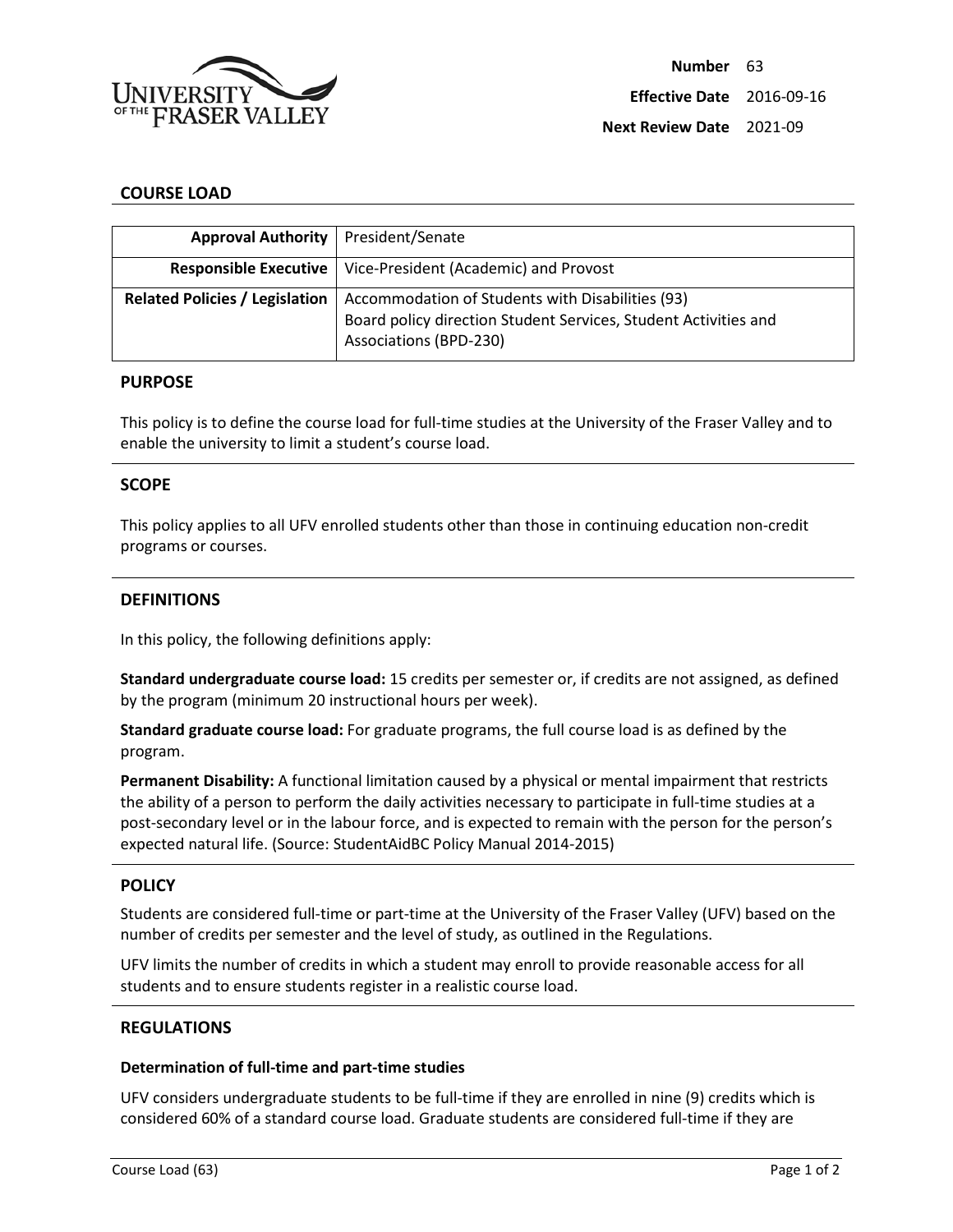

# **COURSE LOAD**

| Approval Authority   President/Senate |                                                                                                                                                      |
|---------------------------------------|------------------------------------------------------------------------------------------------------------------------------------------------------|
|                                       | <b>Responsible Executive</b>   Vice-President (Academic) and Provost                                                                                 |
| <b>Related Policies / Legislation</b> | Accommodation of Students with Disabilities (93)<br>Board policy direction Student Services, Student Activities and<br><b>Associations (BPD-230)</b> |

#### **PURPOSE**

This policy is to define the course load for full-time studies at the University of the Fraser Valley and to enable the university to limit a student's course load.

## **SCOPE**

This policy applies to all UFV enrolled students other than those in continuing education non-credit programs or courses.

## **DEFINITIONS**

In this policy, the following definitions apply:

**Standard undergraduate course load:** 15 credits per semester or, if credits are not assigned, as defined by the program (minimum 20 instructional hours per week).

**Standard graduate course load:** For graduate programs, the full course load is as defined by the program.

**Permanent Disability:** A functional limitation caused by a physical or mental impairment that restricts the ability of a person to perform the daily activities necessary to participate in full-time studies at a post-secondary level or in the labour force, and is expected to remain with the person for the person's expected natural life. (Source: StudentAidBC Policy Manual 2014-2015)

#### **POLICY**

Students are considered full-time or part-time at the University of the Fraser Valley (UFV) based on the number of credits per semester and the level of study, as outlined in the Regulations.

UFV limits the number of credits in which a student may enroll to provide reasonable access for all students and to ensure students register in a realistic course load.

## **REGULATIONS**

# **Determination of full-time and part-time studies**

UFV considers undergraduate students to be full-time if they are enrolled in nine (9) credits which is considered 60% of a standard course load. Graduate students are considered full-time if they are